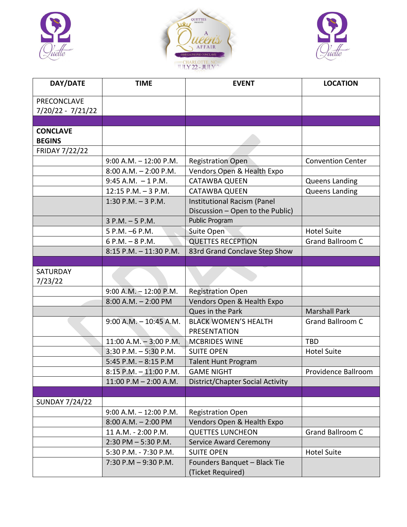





| DAY/DATE                                | <b>TIME</b>               | <b>EVENT</b>                                                    | <b>LOCATION</b>          |
|-----------------------------------------|---------------------------|-----------------------------------------------------------------|--------------------------|
| <b>PRECONCLAVE</b><br>7/20/22 - 7/21/22 |                           |                                                                 |                          |
|                                         |                           |                                                                 |                          |
| <b>CONCLAVE</b><br><b>BEGINS</b>        |                           |                                                                 |                          |
| <b>FRIDAY 7/22/22</b>                   |                           |                                                                 |                          |
|                                         | $9:00$ A.M. $-12:00$ P.M. | <b>Registration Open</b>                                        | <b>Convention Center</b> |
|                                         | $8:00$ A.M. $-2:00$ P.M.  | Vendors Open & Health Expo                                      |                          |
|                                         | $9:45$ A.M. $-1$ P.M.     | <b>CATAWBA QUEEN</b>                                            | Queens Landing           |
|                                         | $12:15$ P.M. $-3$ P.M.    | <b>CATAWBA QUEEN</b>                                            | <b>Queens Landing</b>    |
|                                         | $1:30$ P.M. $-3$ P.M.     | Institutional Racism (Panel<br>Discussion - Open to the Public) |                          |
|                                         | $3 P.M. - 5 P.M.$         | Public Program                                                  |                          |
|                                         | 5 P.M. -6 P.M.            | Suite Open                                                      | <b>Hotel Suite</b>       |
|                                         | 6 P.M. $-$ 8 P.M.         | <b>QUETTES RECEPTION</b>                                        | <b>Grand Ballroom C</b>  |
|                                         | $8:15$ P.M. $-11:30$ P.M. | 83rd Grand Conclave Step Show                                   |                          |
|                                         |                           |                                                                 |                          |
| SATURDAY<br>7/23/22                     |                           |                                                                 |                          |
|                                         | $9:00$ A.M. $-12:00$ P.M. | <b>Registration Open</b>                                        |                          |
|                                         | $8:00$ A.M. $- 2:00$ PM   | Vendors Open & Health Expo                                      |                          |
|                                         |                           | Ques in the Park                                                | <b>Marshall Park</b>     |
|                                         | $9:00$ A.M. $-10:45$ A.M. | <b>BLACK WOMEN'S HEALTH</b><br>PRESENTATION                     | <b>Grand Ballroom C</b>  |
|                                         | $11:00$ A.M. $-3:00$ P.M. | <b>MCBRIDES WINE</b>                                            | <b>TBD</b>               |
|                                         | $3:30$ P.M. $-5:30$ P.M.  | <b>SUITE OPEN</b>                                               | <b>Hotel Suite</b>       |
|                                         | 5:45 P.M. $-8:15$ P.M     | <b>Talent Hunt Program</b>                                      |                          |
|                                         | 8:15 P.M. - 11:00 P.M.    | <b>GAME NIGHT</b>                                               | Providence Ballroom      |
|                                         | $11:00$ P.M $- 2:00$ A.M. | District/Chapter Social Activity                                |                          |
|                                         |                           |                                                                 |                          |
| <b>SUNDAY 7/24/22</b>                   |                           |                                                                 |                          |
|                                         | $9:00$ A.M. $-12:00$ P.M. | <b>Registration Open</b>                                        |                          |
|                                         | $8:00$ A.M. $- 2:00$ PM   | Vendors Open & Health Expo                                      |                          |
|                                         | 11 A.M. - 2:00 P.M.       | <b>QUETTES LUNCHEON</b>                                         | <b>Grand Ballroom C</b>  |
|                                         | $2:30$ PM $-5:30$ P.M.    | <b>Service Award Ceremony</b>                                   |                          |
|                                         | 5:30 P.M. - 7:30 P.M.     | <b>SUITE OPEN</b>                                               | <b>Hotel Suite</b>       |
|                                         | 7:30 P.M $-$ 9:30 P.M.    | Founders Banquet - Black Tie<br>(Ticket Required)               |                          |